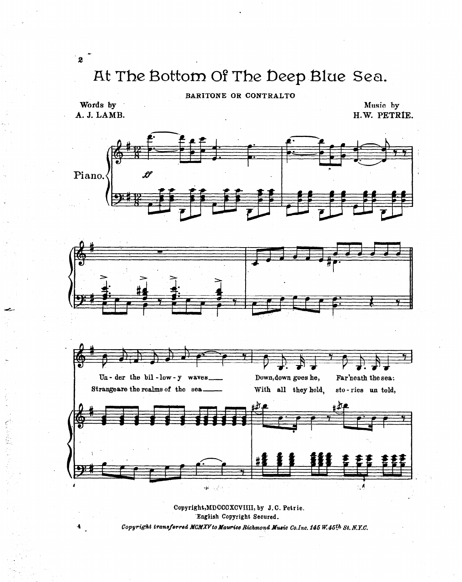## At The Bottom Of The Deep Blue Sea.

## BARITONE OR CONTRALTO

Words by A. J. LAMB.

 $\overline{\mathbf{z}}$ 

Music by H.W. PETRIE.



Copyright, MDCCCXCVIIII, by J.C. Petrie. English Copyright Secured. Copyright transferred MCMXV to Maurice Richmond Music Co.Inc. 145 W.45th St. N.Y.C.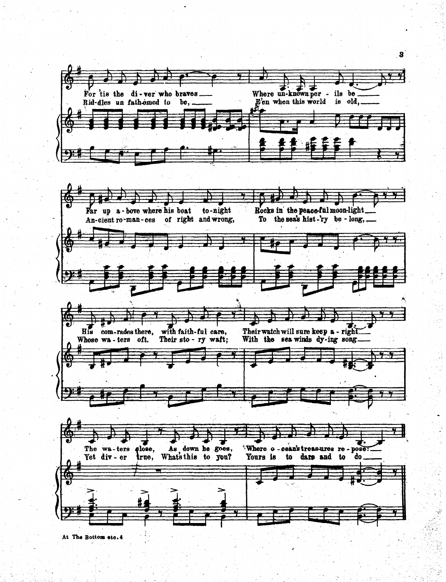

At The Bottom etc. 4

 $\mathbf{3}$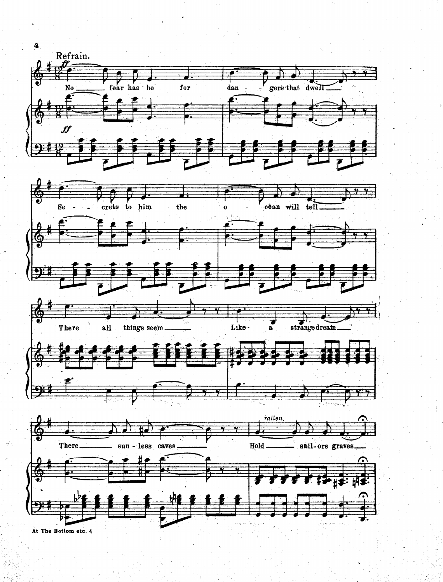

At The Bottom etc. 4